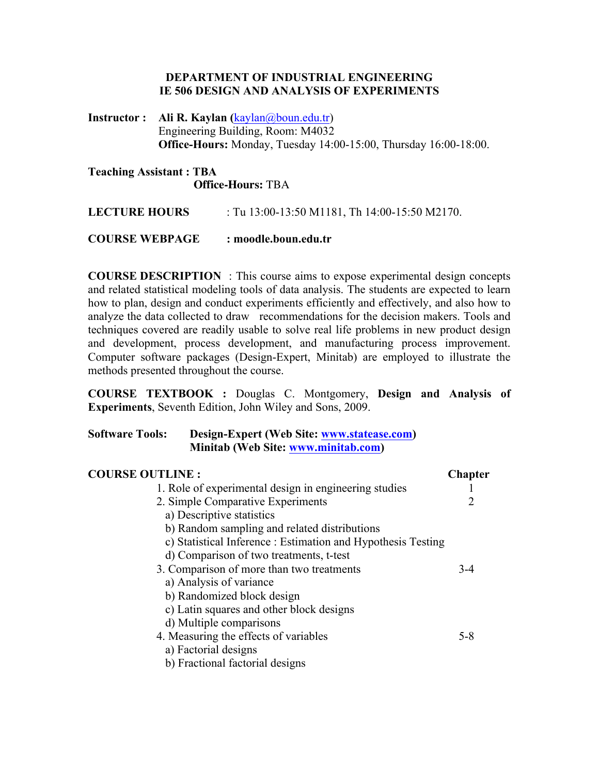### **DEPARTMENT OF INDUSTRIAL ENGINEERING IE 506 DESIGN AND ANALYSIS OF EXPERIMENTS**

**Instructor : Ali R. Kaylan (**kaylan@boun.edu.tr) Engineering Building, Room: M4032 **Office-Hours:** Monday, Tuesday 14:00-15:00, Thursday 16:00-18:00.

### **Teaching Assistant : TBA Office-Hours:** TBA

**LECTURE HOURS** : Tu 13:00-13:50 M1181, Th 14:00-15:50 M2170.

## **COURSE WEBPAGE : moodle.boun.edu.tr**

**COURSE DESCRIPTION** : This course aims to expose experimental design concepts and related statistical modeling tools of data analysis. The students are expected to learn how to plan, design and conduct experiments efficiently and effectively, and also how to analyze the data collected to draw recommendations for the decision makers. Tools and techniques covered are readily usable to solve real life problems in new product design and development, process development, and manufacturing process improvement. Computer software packages (Design-Expert, Minitab) are employed to illustrate the methods presented throughout the course.

**COURSE TEXTBOOK :** Douglas C. Montgomery, **Design and Analysis of Experiments**, Seventh Edition, John Wiley and Sons, 2009.

# **Software Tools: Design-Expert (Web Site: www.statease.com) Minitab (Web Site: www.minitab.com)**

| <b>COURSE OUTLINE:</b>                                       | <b>Chapter</b> |
|--------------------------------------------------------------|----------------|
| 1. Role of experimental design in engineering studies        |                |
| 2. Simple Comparative Experiments                            |                |
| a) Descriptive statistics                                    |                |
| b) Random sampling and related distributions                 |                |
| c) Statistical Inference : Estimation and Hypothesis Testing |                |
| d) Comparison of two treatments, t-test                      |                |
| 3. Comparison of more than two treatments                    | $3-4$          |
| a) Analysis of variance                                      |                |
| b) Randomized block design                                   |                |
| c) Latin squares and other block designs                     |                |
| d) Multiple comparisons                                      |                |
| 4. Measuring the effects of variables                        | $5 - 8$        |
| a) Factorial designs                                         |                |
| b) Fractional factorial designs                              |                |
|                                                              |                |